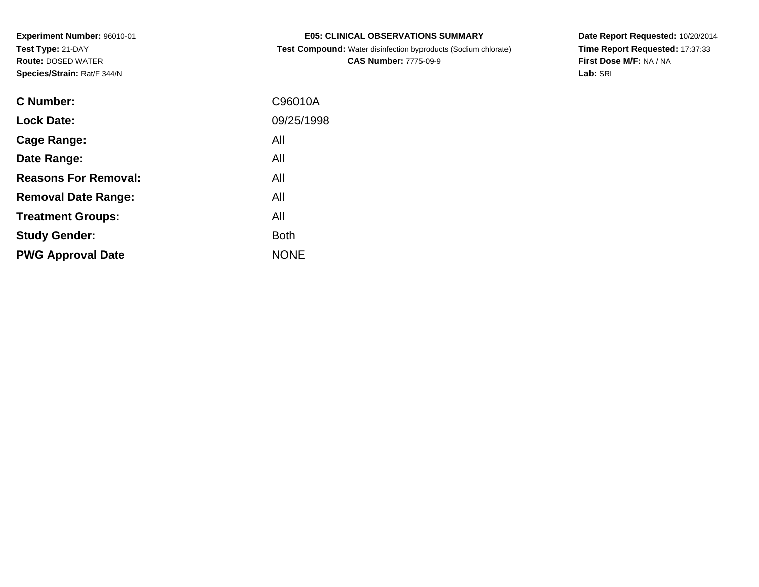| <b>E05: CLINICAL OBSERVATIONS SUMMARY</b> |
|-------------------------------------------|
|                                           |

 **Test Compound:** Water disinfection byproducts (Sodium chlorate)**CAS Number:** 7775-09-9

**Date Report Requested:** 10/20/2014 **Time Report Requested:** 17:37:33**First Dose M/F:** NA / NA**Lab:** SRI

| <b>C</b> Number:            | C96010A     |
|-----------------------------|-------------|
| <b>Lock Date:</b>           | 09/25/1998  |
| Cage Range:                 | All         |
| Date Range:                 | All         |
| <b>Reasons For Removal:</b> | All         |
| <b>Removal Date Range:</b>  | All         |
| <b>Treatment Groups:</b>    | All         |
| <b>Study Gender:</b>        | <b>Both</b> |
| <b>PWG Approval Date</b>    | <b>NONE</b> |
|                             |             |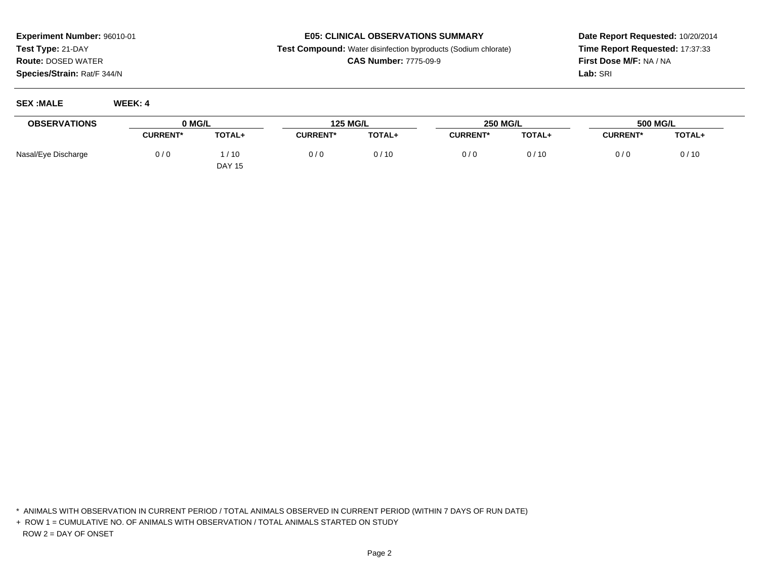# **Experiment Number:** 96010-01**Test Type:** 21-DAY**Route:** DOSED WATER

### **Species/Strain:** Rat/F 344/N

**SEX :MALE WEEK: 4**

**E05: CLINICAL OBSERVATIONS SUMMARY**

**Test Compound:** Water disinfection byproducts (Sodium chlorate)

**CAS Number:** 7775-09-9

**Date Report Requested:** 10/20/2014**Time Report Requested:** 17:37:33**First Dose M/F:** NA / NA**Lab:** SRI

| <b>OBSERVATIONS</b> | ን MG/L          |                      | <b>125 MG/L</b> |               | <b>250 MG/L</b> |        | <b>500 MG/L</b> |        |
|---------------------|-----------------|----------------------|-----------------|---------------|-----------------|--------|-----------------|--------|
|                     | <b>CURRENT*</b> | TOTAL+               | <b>CURRENT*</b> | <b>TOTAL+</b> | <b>CURRENT*</b> | TOTAL+ | <b>CURRENT*</b> | TOTAL+ |
| Nasal/Eye Discharge | 0/0             | /10<br><b>DAY 15</b> | 0/0             | 0/10          | 0/0             | 0/10   | 0/0             | 0/10   |

\* ANIMALS WITH OBSERVATION IN CURRENT PERIOD / TOTAL ANIMALS OBSERVED IN CURRENT PERIOD (WITHIN 7 DAYS OF RUN DATE)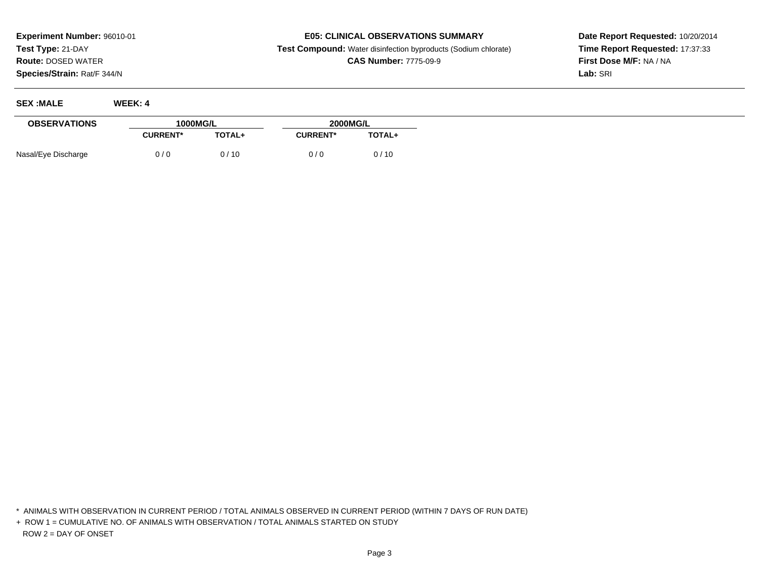#### **E05: CLINICAL OBSERVATIONS SUMMARY**

**Test Compound:** Water disinfection byproducts (Sodium chlorate)

**CAS Number:** 7775-09-9

**Date Report Requested:** 10/20/2014**Time Report Requested:** 17:37:33**First Dose M/F:** NA / NA**Lab:** SRI

| <b>SEX:MALE</b>     | <b>WEEK: 4</b>  |                 |                 |               |
|---------------------|-----------------|-----------------|-----------------|---------------|
| <b>OBSERVATIONS</b> |                 | <b>1000MG/L</b> | <b>2000MG/L</b> |               |
|                     | <b>CURRENT*</b> | TOTAL+          | <b>CURRENT*</b> | <b>TOTAL+</b> |
| Nasal/Eye Discharge | 0/0             | 0/10            | 0/0             | 0/10          |

\* ANIMALS WITH OBSERVATION IN CURRENT PERIOD / TOTAL ANIMALS OBSERVED IN CURRENT PERIOD (WITHIN 7 DAYS OF RUN DATE)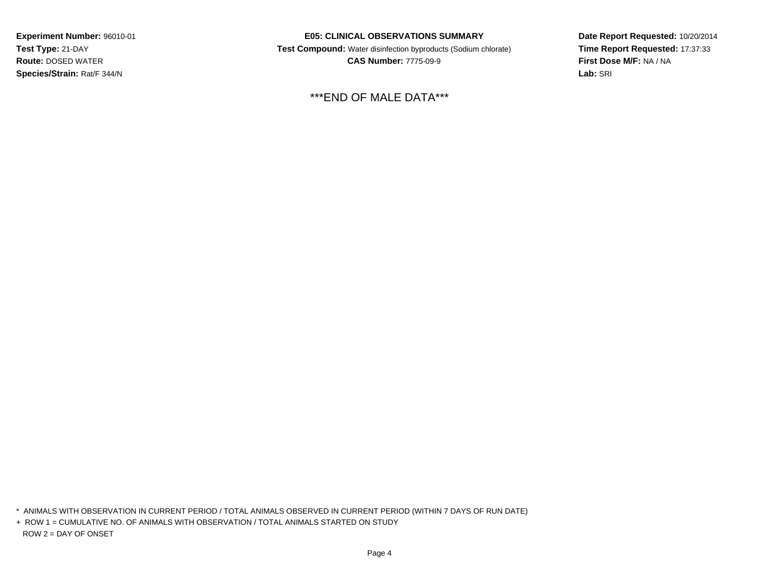### **E05: CLINICAL OBSERVATIONS SUMMARY**

 **Test Compound:** Water disinfection byproducts (Sodium chlorate)**CAS Number:** 7775-09-9

\*\*\*END OF MALE DATA\*\*\*

**Date Report Requested:** 10/20/2014**Time Report Requested:** 17:37:33**First Dose M/F:** NA / NA**Lab:** SRI

\* ANIMALS WITH OBSERVATION IN CURRENT PERIOD / TOTAL ANIMALS OBSERVED IN CURRENT PERIOD (WITHIN 7 DAYS OF RUN DATE)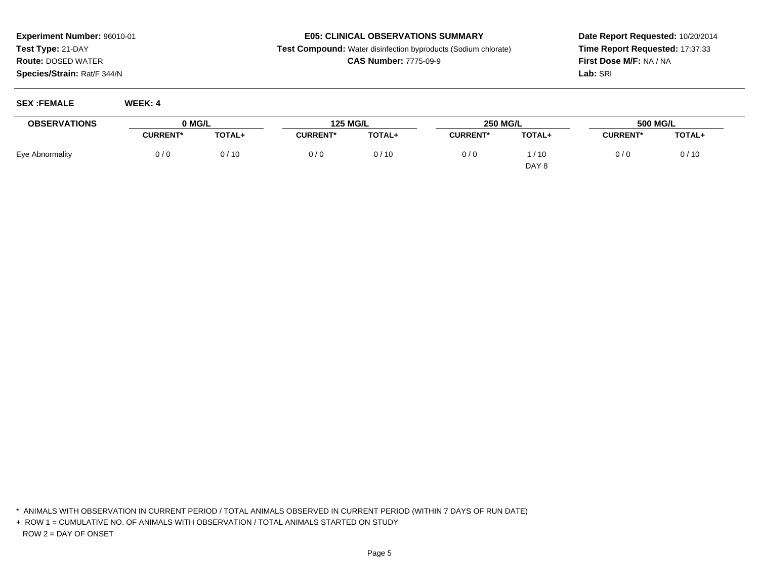# **Experiment Number:** 96010-01**Test Type:** 21-DAY**Route:** DOSED WATER

### **Species/Strain:** Rat/F 344/N

### **E05: CLINICAL OBSERVATIONS SUMMARY**

**Test Compound:** Water disinfection byproducts (Sodium chlorate)

**CAS Number:** 7775-09-9

**Date Report Requested:** 10/20/2014**Time Report Requested:** 17:37:33**First Dose M/F:** NA / NA**Lab:** SRI

| <b>OBSERVATIONS</b> | 0 MG/L          |               | 125 MG/L        |        | <b>250 MG/L</b> |        | <b>500 MG/L</b> |        |
|---------------------|-----------------|---------------|-----------------|--------|-----------------|--------|-----------------|--------|
|                     | <b>CURRENT*</b> | <b>TOTAL+</b> | <b>CURRENT*</b> | TOTAL+ | <b>CURRENT*</b> | TOTAL+ | <b>CURRENT*</b> | TOTAL+ |
| Eye Abnormality     | 0/0             | 0/10          | 0/0             | 0/10   | 0/0             | / 10   | 0/0             | 0/10   |
|                     |                 |               |                 |        |                 | DAY 8  |                 |        |

\* ANIMALS WITH OBSERVATION IN CURRENT PERIOD / TOTAL ANIMALS OBSERVED IN CURRENT PERIOD (WITHIN 7 DAYS OF RUN DATE)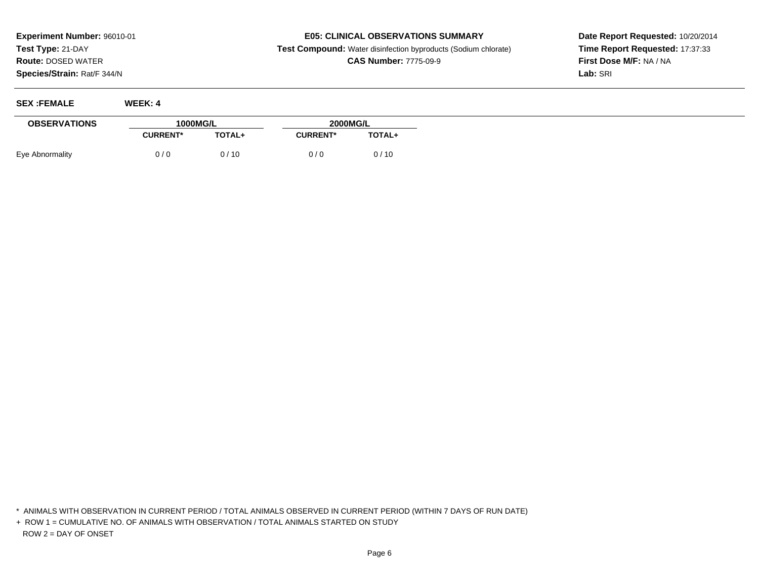#### **E05: CLINICAL OBSERVATIONS SUMMARY**

**Test Compound:** Water disinfection byproducts (Sodium chlorate)

**CAS Number:** 7775-09-9

**Date Report Requested:** 10/20/2014**Time Report Requested:** 17:37:33**First Dose M/F:** NA / NA**Lab:** SRI

# **SEX :FEMALE WEEK: 4**

| <b>OBSERVATIONS</b> | <b>1000MG/L</b> |               |                 | <b>2000MG/L</b> |  |
|---------------------|-----------------|---------------|-----------------|-----------------|--|
|                     | <b>CURRENT*</b> | <b>TOTAL+</b> | <b>CURRENT*</b> | <b>TOTAL+</b>   |  |
| Eye Abnormality     | 0/0             | /10<br>U /    | 0/c             | 0/10            |  |

<sup>\*</sup> ANIMALS WITH OBSERVATION IN CURRENT PERIOD / TOTAL ANIMALS OBSERVED IN CURRENT PERIOD (WITHIN 7 DAYS OF RUN DATE)

<sup>+</sup> ROW 1 = CUMULATIVE NO. OF ANIMALS WITH OBSERVATION / TOTAL ANIMALS STARTED ON STUDYROW 2 = DAY OF ONSET